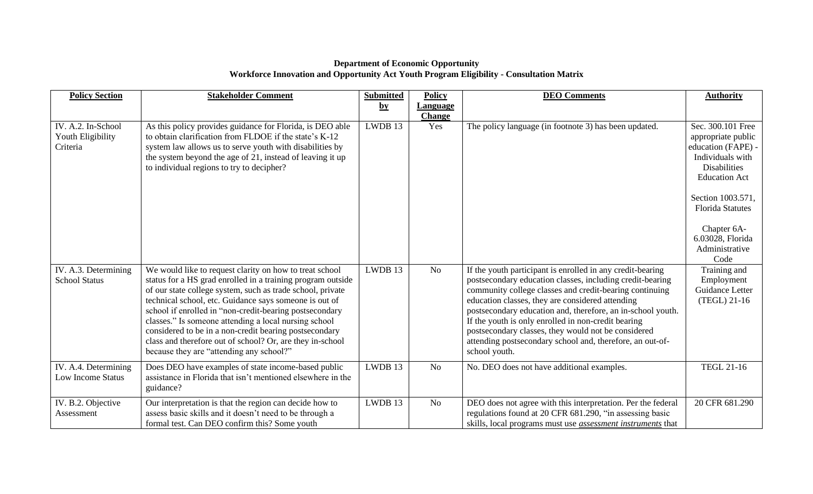## **Department of Economic Opportunity Workforce Innovation and Opportunity Act Youth Program Eligibility - Consultation Matrix**

| <b>Policy Section</b>                               | <b>Stakeholder Comment</b>                                                                                                                                                                                                                                                                                                                                                                                                                                                                                                            | <b>Submitted</b>       | <b>Policy</b>   | <b>DEO Comments</b>                                                                                                                                                                                                                                                                                                                                                                                                                                                                               | <b>Authority</b>                                                                                                                                                                                                                              |
|-----------------------------------------------------|---------------------------------------------------------------------------------------------------------------------------------------------------------------------------------------------------------------------------------------------------------------------------------------------------------------------------------------------------------------------------------------------------------------------------------------------------------------------------------------------------------------------------------------|------------------------|-----------------|---------------------------------------------------------------------------------------------------------------------------------------------------------------------------------------------------------------------------------------------------------------------------------------------------------------------------------------------------------------------------------------------------------------------------------------------------------------------------------------------------|-----------------------------------------------------------------------------------------------------------------------------------------------------------------------------------------------------------------------------------------------|
|                                                     |                                                                                                                                                                                                                                                                                                                                                                                                                                                                                                                                       | $\mathbf{b}\mathbf{y}$ | <b>Language</b> |                                                                                                                                                                                                                                                                                                                                                                                                                                                                                                   |                                                                                                                                                                                                                                               |
|                                                     |                                                                                                                                                                                                                                                                                                                                                                                                                                                                                                                                       |                        | <b>Change</b>   |                                                                                                                                                                                                                                                                                                                                                                                                                                                                                                   |                                                                                                                                                                                                                                               |
| IV. A.2. In-School<br>Youth Eligibility<br>Criteria | As this policy provides guidance for Florida, is DEO able<br>to obtain clarification from FLDOE if the state's K-12<br>system law allows us to serve youth with disabilities by<br>the system beyond the age of 21, instead of leaving it up<br>to individual regions to try to decipher?                                                                                                                                                                                                                                             | LWDB 13                | Yes             | The policy language (in footnote 3) has been updated.                                                                                                                                                                                                                                                                                                                                                                                                                                             | Sec. 300.101 Free<br>appropriate public<br>education (FAPE) -<br>Individuals with<br><b>Disabilities</b><br><b>Education Act</b><br>Section 1003.571,<br><b>Florida Statutes</b><br>Chapter 6A-<br>6.03028, Florida<br>Administrative<br>Code |
| IV. A.3. Determining<br><b>School Status</b>        | We would like to request clarity on how to treat school<br>status for a HS grad enrolled in a training program outside<br>of our state college system, such as trade school, private<br>technical school, etc. Guidance says someone is out of<br>school if enrolled in "non-credit-bearing postsecondary<br>classes." Is someone attending a local nursing school<br>considered to be in a non-credit bearing postsecondary<br>class and therefore out of school? Or, are they in-school<br>because they are "attending any school?" | LWDB 13                | N <sub>o</sub>  | If the youth participant is enrolled in any credit-bearing<br>postsecondary education classes, including credit-bearing<br>community college classes and credit-bearing continuing<br>education classes, they are considered attending<br>postsecondary education and, therefore, an in-school youth.<br>If the youth is only enrolled in non-credit bearing<br>postsecondary classes, they would not be considered<br>attending postsecondary school and, therefore, an out-of-<br>school youth. | Training and<br>Employment<br>Guidance Letter<br>(TEGL) 21-16                                                                                                                                                                                 |
| IV. A.4. Determining<br>Low Income Status           | Does DEO have examples of state income-based public<br>assistance in Florida that isn't mentioned elsewhere in the<br>guidance?                                                                                                                                                                                                                                                                                                                                                                                                       | LWDB 13                | N <sub>o</sub>  | No. DEO does not have additional examples.                                                                                                                                                                                                                                                                                                                                                                                                                                                        | <b>TEGL 21-16</b>                                                                                                                                                                                                                             |
| IV. B.2. Objective<br>Assessment                    | Our interpretation is that the region can decide how to<br>assess basic skills and it doesn't need to be through a<br>formal test. Can DEO confirm this? Some youth                                                                                                                                                                                                                                                                                                                                                                   | LWDB 13                | No              | DEO does not agree with this interpretation. Per the federal<br>regulations found at 20 CFR 681.290, "in assessing basic<br>skills, local programs must use <i>assessment instruments</i> that                                                                                                                                                                                                                                                                                                    | 20 CFR 681.290                                                                                                                                                                                                                                |